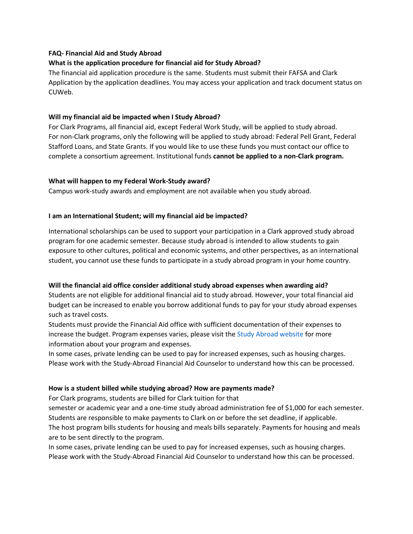# **FAQ- Financial Aid and Study Abroad**

# **What is the application procedure for financial aid for Study Abroad?**

The financial aid application procedure is the same. Students must submit their FAFSA and Clark Application by the application deadlines. You may access your application and track document status on CUWeb.

### **Will my financial aid be impacted when I Study Abroad?**

For Clark Programs, all financial aid, except Federal Work Study, will be applied to study abroad. For non-Clark programs, only the following will be applied to study abroad: Federal Pell Grant, Federal Stafford Loans, and State Grants. If you would like to use these funds you must contact our office to complete a consortium agreement. Institutional funds **cannot be applied to a non-Clark program.**

### **What will happen to my Federal Work-Study award?**

Campus work-study awards and employment are not available when you study abroad.

### **I am an International Student; will my financial aid be impacted?**

International scholarships can be used to support your participation in a Clark approved study abroad program for one academic semester. Because study abroad is intended to allow students to gain exposure to other cultures, political and economic systems, and other perspectives, as an international student, you cannot use these funds to participate in a study abroad program in your home country.

### **Will the financial aid office consider additional study abroad expenses when awarding aid?**

Students are not eligible for additional financial aid to study abroad. However, your total financial aid budget can be increased to enable you borrow additional funds to pay for your study abroad expenses such as travel costs.

Students must provide the Financial Aid office with sufficient documentation of their expenses to increase the budget. Program expenses varies, please visit the Study Abroad website for more information about your program and expenses.

In some cases, private lending can be used to pay for increased expenses, such as housing charges. Please work with the Study-Abroad Financial Aid Counselor to understand how this can be processed.

### **How is a student billed while studying abroad? How are payments made?**

For Clark programs, students are billed for Clark tuition for that

semester or academic year and a one-time study abroad administration fee of \$1,000 for each semester. Students are responsible to make payments to Clark on or before the set deadline, if applicable. The host program bills students for housing and meals bills separately. Payments for housing and meals are to be sent directly to the program.

In some cases, private lending can be used to pay for increased expenses, such as housing charges. Please work with the Study-Abroad Financial Aid Counselor to understand how this can be processed.